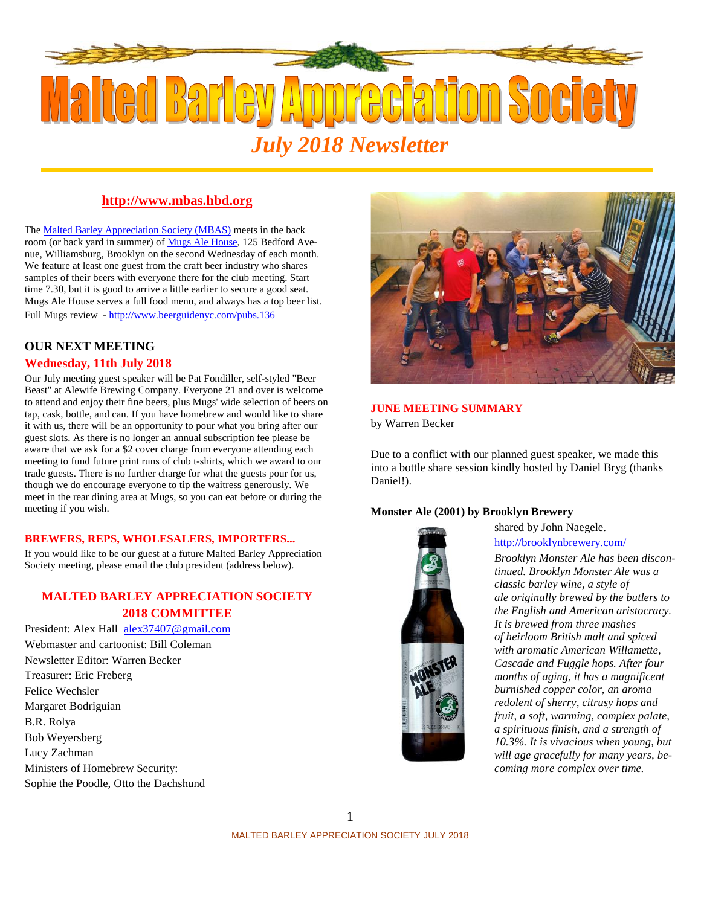

### **http://www.mbas.hbd.org**

The Malted Barley Appreciation Society (MBAS) meets in the back room (or back yard in summer) of Mugs Ale House, 125 Bedford Ave nue, Williamsburg, Brooklyn on the second Wednesday of each month. We feature at least one guest from the craft beer industry who shares samples of their beers with everyone there for the club meeting. Start time 7.30, but it is good to arrive a little earlier to secure a good seat. Mugs Ale House serves a full food menu, and always has a top beer list. Full Mugs review - http://www.beerguidenyc.com/pubs.136

## **OUR NEXT MEETING Wednesday, 11th July 2018**

Our July meeting guest speaker will be Pat Fondiller, self-styled "Beer Beast" at Alewife Brewing Company. Everyone 21 and over is welcome to attend and enjoy their fine beers, plus Mugs' wide selection of beers on tap, cask, bottle, and can. If you have homebrew and would like to share it with us, there will be an opportunity to pour what you bring after our guest slots. As there is no longer an annual subscription fee please be aware that we ask for a \$2 cover charge from everyone attending each meeting to fund future print runs of club t-shirts, which we award to our trade guests. There is no further charge for what the guests pour for us, though we do encourage everyone to tip the waitress generously. We meet in the rear dining area at Mugs, so you can eat before or during the meeting if you wish.

#### **BREWERS, REPS, WHOLESALERS, IMPORTERS...**

If you would like to be our guest at a future Malted Barley Appreciation Society meeting, please email the club president (address below).

## **MALTED BARLEY APPRECIATION SOCIETY 2018 COMMITTEE**

President: Alex Hall alex37407@gmail.com Webmaster and cartoonist: Bill Coleman Newsletter Editor: Warren Becker Treasurer: Eric Freberg Felice Wechsler Margaret Bodriguian B.R. Rolya Bob Weyersberg Lucy Zachman Ministers of Homebrew Security: Sophie the Poodle, Otto the Dachshund



# **JUNE MEETING SUMMARY**

by Warren Becker

Due to a conflict with our planned guest speaker, we made this into a bottle share session kindly hosted by Daniel Bryg (thanks Daniel!).

### **Monster Ale (2001) by Brooklyn Brewery**



shared by John Naegele. http://brooklynbrewery.com/

*Brooklyn Monster Ale has been discontinued. Brooklyn Monster Ale was a classic barley wine, a style of ale originally brewed by the butlers to the English and American aristocracy. It is brewed from three mashes of heirloom British malt and spiced with aromatic American Willamette, Cascade and Fuggle hops. After four months of aging, it has a magnificent burnished copper color, an aroma redolent of sherry, citrusy hops and fruit, a soft, warming, complex palate, a spirituous finish, and a strength of 10.3%. It is vivacious when young, but will age gracefully for many years, be coming more complex over time.*

1